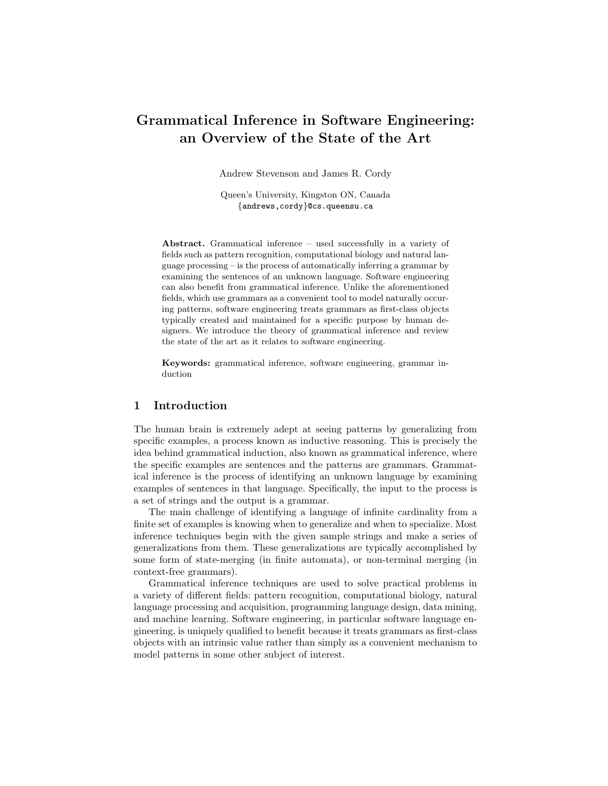# Grammatical Inference in Software Engineering: an Overview of the State of the Art

Andrew Stevenson and James R. Cordy

Queen's University, Kingston ON, Canada {andrews,cordy}@cs.queensu.ca

Abstract. Grammatical inference – used successfully in a variety of fields such as pattern recognition, computational biology and natural language processing – is the process of automatically inferring a grammar by examining the sentences of an unknown language. Software engineering can also benefit from grammatical inference. Unlike the aforementioned fields, which use grammars as a convenient tool to model naturally occuring patterns, software engineering treats grammars as first-class objects typically created and maintained for a specific purpose by human designers. We introduce the theory of grammatical inference and review the state of the art as it relates to software engineering.

Keywords: grammatical inference, software engineering, grammar induction

### 1 Introduction

The human brain is extremely adept at seeing patterns by generalizing from specific examples, a process known as inductive reasoning. This is precisely the idea behind grammatical induction, also known as grammatical inference, where the specific examples are sentences and the patterns are grammars. Grammatical inference is the process of identifying an unknown language by examining examples of sentences in that language. Specifically, the input to the process is a set of strings and the output is a grammar.

The main challenge of identifying a language of infinite cardinality from a finite set of examples is knowing when to generalize and when to specialize. Most inference techniques begin with the given sample strings and make a series of generalizations from them. These generalizations are typically accomplished by some form of state-merging (in finite automata), or non-terminal merging (in context-free grammars).

Grammatical inference techniques are used to solve practical problems in a variety of different fields: pattern recognition, computational biology, natural language processing and acquisition, programming language design, data mining, and machine learning. Software engineering, in particular software language engineering, is uniquely qualified to benefit because it treats grammars as first-class objects with an intrinsic value rather than simply as a convenient mechanism to model patterns in some other subject of interest.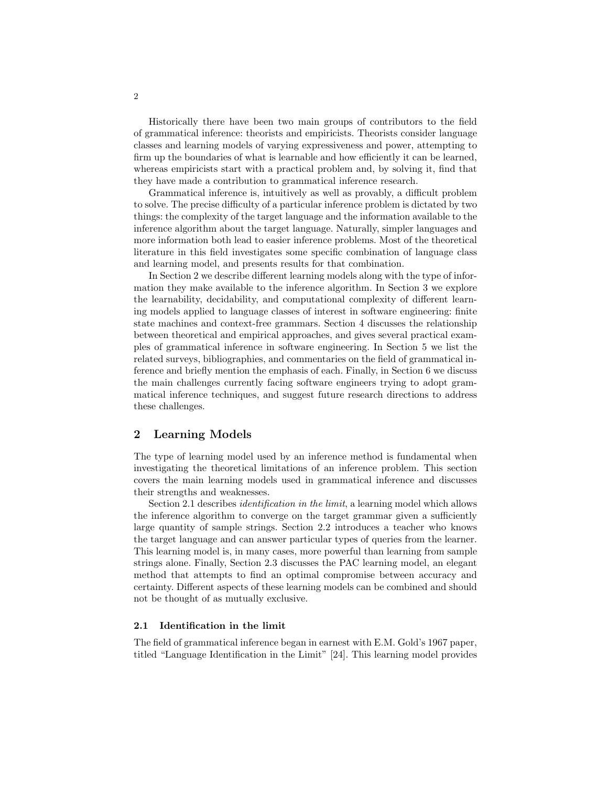Historically there have been two main groups of contributors to the field of grammatical inference: theorists and empiricists. Theorists consider language classes and learning models of varying expressiveness and power, attempting to firm up the boundaries of what is learnable and how efficiently it can be learned, whereas empiricists start with a practical problem and, by solving it, find that they have made a contribution to grammatical inference research.

Grammatical inference is, intuitively as well as provably, a difficult problem to solve. The precise difficulty of a particular inference problem is dictated by two things: the complexity of the target language and the information available to the inference algorithm about the target language. Naturally, simpler languages and more information both lead to easier inference problems. Most of the theoretical literature in this field investigates some specific combination of language class and learning model, and presents results for that combination.

In Section 2 we describe different learning models along with the type of information they make available to the inference algorithm. In Section 3 we explore the learnability, decidability, and computational complexity of different learning models applied to language classes of interest in software engineering: finite state machines and context-free grammars. Section 4 discusses the relationship between theoretical and empirical approaches, and gives several practical examples of grammatical inference in software engineering. In Section 5 we list the related surveys, bibliographies, and commentaries on the field of grammatical inference and briefly mention the emphasis of each. Finally, in Section 6 we discuss the main challenges currently facing software engineers trying to adopt grammatical inference techniques, and suggest future research directions to address these challenges.

### 2 Learning Models

The type of learning model used by an inference method is fundamental when investigating the theoretical limitations of an inference problem. This section covers the main learning models used in grammatical inference and discusses their strengths and weaknesses.

Section 2.1 describes identification in the limit, a learning model which allows the inference algorithm to converge on the target grammar given a sufficiently large quantity of sample strings. Section 2.2 introduces a teacher who knows the target language and can answer particular types of queries from the learner. This learning model is, in many cases, more powerful than learning from sample strings alone. Finally, Section 2.3 discusses the PAC learning model, an elegant method that attempts to find an optimal compromise between accuracy and certainty. Different aspects of these learning models can be combined and should not be thought of as mutually exclusive.

#### 2.1 Identification in the limit

The field of grammatical inference began in earnest with E.M. Gold's 1967 paper, titled "Language Identification in the Limit" [24]. This learning model provides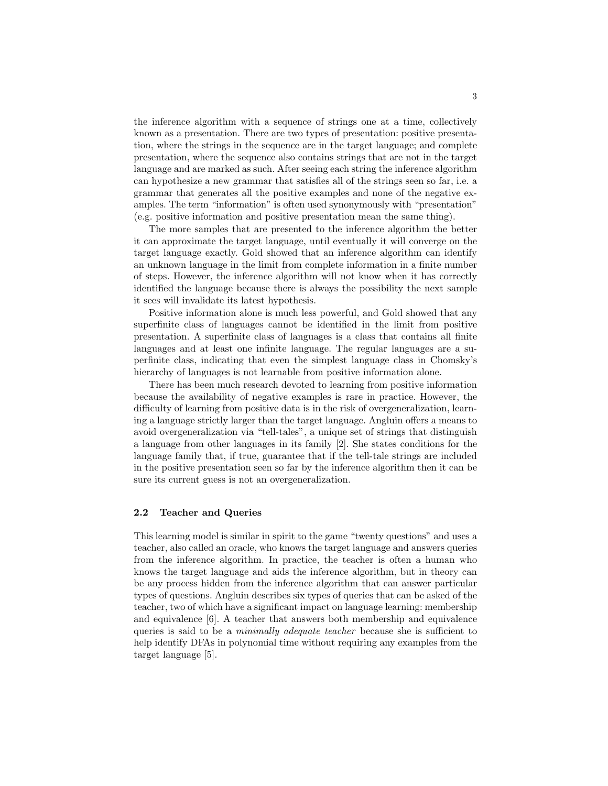the inference algorithm with a sequence of strings one at a time, collectively known as a presentation. There are two types of presentation: positive presentation, where the strings in the sequence are in the target language; and complete presentation, where the sequence also contains strings that are not in the target language and are marked as such. After seeing each string the inference algorithm can hypothesize a new grammar that satisfies all of the strings seen so far, i.e. a grammar that generates all the positive examples and none of the negative examples. The term "information" is often used synonymously with "presentation" (e.g. positive information and positive presentation mean the same thing).

The more samples that are presented to the inference algorithm the better it can approximate the target language, until eventually it will converge on the target language exactly. Gold showed that an inference algorithm can identify an unknown language in the limit from complete information in a finite number of steps. However, the inference algorithm will not know when it has correctly identified the language because there is always the possibility the next sample it sees will invalidate its latest hypothesis.

Positive information alone is much less powerful, and Gold showed that any superfinite class of languages cannot be identified in the limit from positive presentation. A superfinite class of languages is a class that contains all finite languages and at least one infinite language. The regular languages are a superfinite class, indicating that even the simplest language class in Chomsky's hierarchy of languages is not learnable from positive information alone.

There has been much research devoted to learning from positive information because the availability of negative examples is rare in practice. However, the difficulty of learning from positive data is in the risk of overgeneralization, learning a language strictly larger than the target language. Angluin offers a means to avoid overgeneralization via "tell-tales", a unique set of strings that distinguish a language from other languages in its family [2]. She states conditions for the language family that, if true, guarantee that if the tell-tale strings are included in the positive presentation seen so far by the inference algorithm then it can be sure its current guess is not an overgeneralization.

#### 2.2 Teacher and Queries

This learning model is similar in spirit to the game "twenty questions" and uses a teacher, also called an oracle, who knows the target language and answers queries from the inference algorithm. In practice, the teacher is often a human who knows the target language and aids the inference algorithm, but in theory can be any process hidden from the inference algorithm that can answer particular types of questions. Angluin describes six types of queries that can be asked of the teacher, two of which have a significant impact on language learning: membership and equivalence [6]. A teacher that answers both membership and equivalence queries is said to be a minimally adequate teacher because she is sufficient to help identify DFAs in polynomial time without requiring any examples from the target language [5].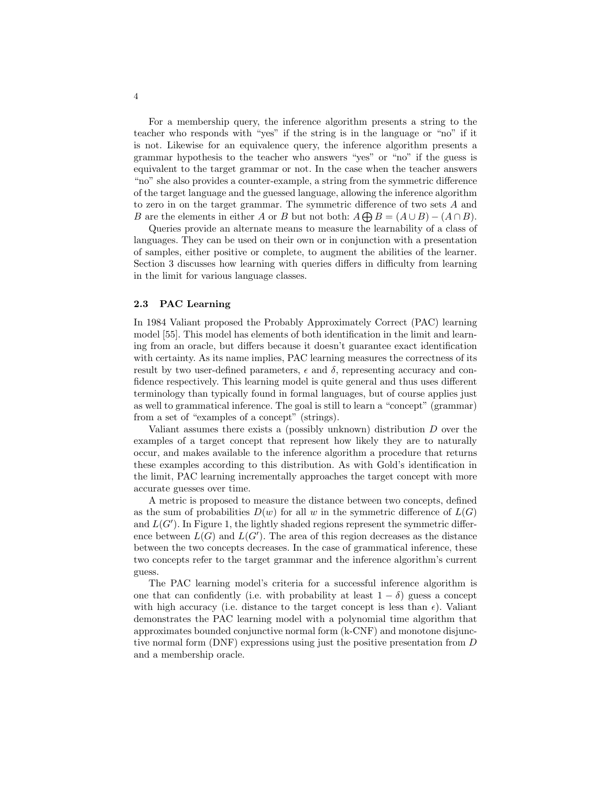For a membership query, the inference algorithm presents a string to the teacher who responds with "yes" if the string is in the language or "no" if it is not. Likewise for an equivalence query, the inference algorithm presents a grammar hypothesis to the teacher who answers "yes" or "no" if the guess is equivalent to the target grammar or not. In the case when the teacher answers "no" she also provides a counter-example, a string from the symmetric difference of the target language and the guessed language, allowing the inference algorithm to zero in on the target grammar. The symmetric difference of two sets A and B are the elements in either A or B but not both:  $A \bigoplus B = (A \cup B) - (A \cap B)$ .

Queries provide an alternate means to measure the learnability of a class of languages. They can be used on their own or in conjunction with a presentation of samples, either positive or complete, to augment the abilities of the learner. Section 3 discusses how learning with queries differs in difficulty from learning in the limit for various language classes.

#### 2.3 PAC Learning

In 1984 Valiant proposed the Probably Approximately Correct (PAC) learning model [55]. This model has elements of both identification in the limit and learning from an oracle, but differs because it doesn't guarantee exact identification with certainty. As its name implies, PAC learning measures the correctness of its result by two user-defined parameters,  $\epsilon$  and  $\delta$ , representing accuracy and confidence respectively. This learning model is quite general and thus uses different terminology than typically found in formal languages, but of course applies just as well to grammatical inference. The goal is still to learn a "concept" (grammar) from a set of "examples of a concept" (strings).

Valiant assumes there exists a (possibly unknown) distribution D over the examples of a target concept that represent how likely they are to naturally occur, and makes available to the inference algorithm a procedure that returns these examples according to this distribution. As with Gold's identification in the limit, PAC learning incrementally approaches the target concept with more accurate guesses over time.

A metric is proposed to measure the distance between two concepts, defined as the sum of probabilities  $D(w)$  for all w in the symmetric difference of  $L(G)$ and  $L(G')$ . In Figure 1, the lightly shaded regions represent the symmetric difference between  $L(G)$  and  $L(G')$ . The area of this region decreases as the distance between the two concepts decreases. In the case of grammatical inference, these two concepts refer to the target grammar and the inference algorithm's current guess.

The PAC learning model's criteria for a successful inference algorithm is one that can confidently (i.e. with probability at least  $1 - \delta$ ) guess a concept with high accuracy (i.e. distance to the target concept is less than  $\epsilon$ ). Valiant demonstrates the PAC learning model with a polynomial time algorithm that approximates bounded conjunctive normal form (k-CNF) and monotone disjunctive normal form (DNF) expressions using just the positive presentation from D and a membership oracle.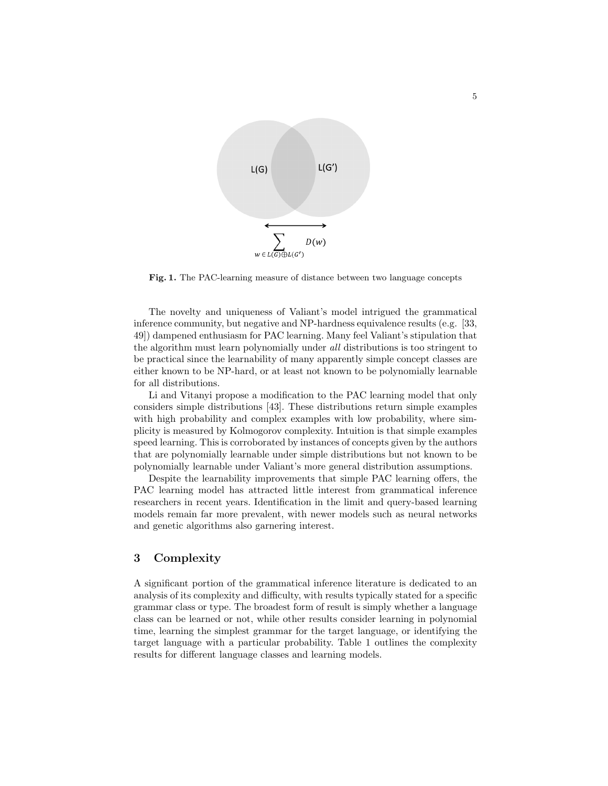

Fig. 1. The PAC-learning measure of distance between two language concepts

The novelty and uniqueness of Valiant's model intrigued the grammatical inference community, but negative and NP-hardness equivalence results (e.g. [33, 49]) dampened enthusiasm for PAC learning. Many feel Valiant's stipulation that the algorithm must learn polynomially under all distributions is too stringent to be practical since the learnability of many apparently simple concept classes are either known to be NP-hard, or at least not known to be polynomially learnable for all distributions.

Li and Vitanyi propose a modification to the PAC learning model that only considers simple distributions [43]. These distributions return simple examples with high probability and complex examples with low probability, where simplicity is measured by Kolmogorov complexity. Intuition is that simple examples speed learning. This is corroborated by instances of concepts given by the authors that are polynomially learnable under simple distributions but not known to be polynomially learnable under Valiant's more general distribution assumptions.

Despite the learnability improvements that simple PAC learning offers, the PAC learning model has attracted little interest from grammatical inference researchers in recent years. Identification in the limit and query-based learning models remain far more prevalent, with newer models such as neural networks and genetic algorithms also garnering interest.

### 3 Complexity

A significant portion of the grammatical inference literature is dedicated to an analysis of its complexity and difficulty, with results typically stated for a specific grammar class or type. The broadest form of result is simply whether a language class can be learned or not, while other results consider learning in polynomial time, learning the simplest grammar for the target language, or identifying the target language with a particular probability. Table 1 outlines the complexity results for different language classes and learning models.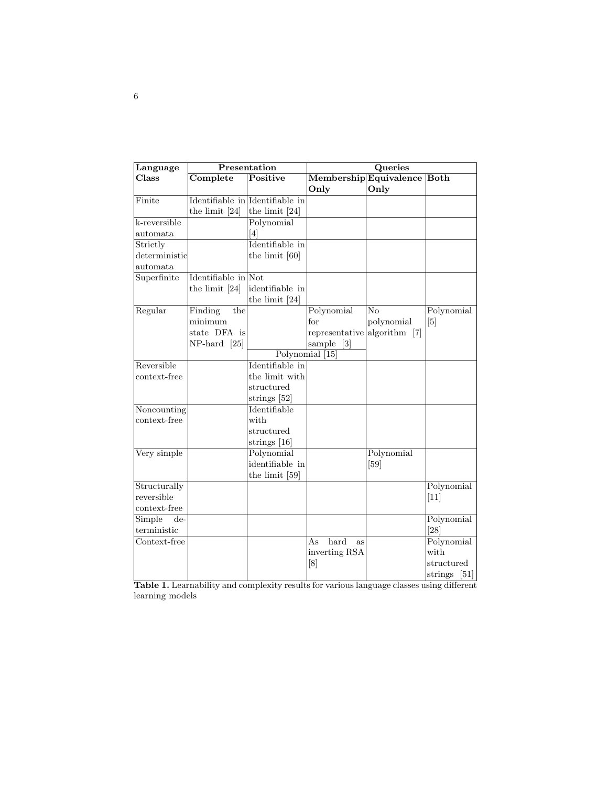| Language        | Presentation        |                                 | Queries                        |                        |              |
|-----------------|---------------------|---------------------------------|--------------------------------|------------------------|--------------|
| Class           | Complete            | <b>Positive</b>                 |                                | Membership Equivalence | Both         |
|                 |                     |                                 | Only                           | Only                   |              |
| Finite          |                     | Identifiable in Identifiable in |                                |                        |              |
|                 | the limit [24]      | the limit $[24]$                |                                |                        |              |
| k-reversible    |                     | Polynomial                      |                                |                        |              |
| automata        |                     | [4]                             |                                |                        |              |
| Strictly        |                     | Identifiable in                 |                                |                        |              |
| deterministic   |                     | the limit [60]                  |                                |                        |              |
| automata        |                     |                                 |                                |                        |              |
| Superfinite     | Identifiable in Not |                                 |                                |                        |              |
|                 | the limit $[24]$    | identifiable in                 |                                |                        |              |
|                 |                     | the limit [24]                  |                                |                        |              |
| Regular         | Finding<br>the      |                                 | Polynomial                     | $\overline{No}$        | Polynomial   |
|                 | minimum             |                                 | for                            | polynomial             | [5]          |
|                 | state DFA is        |                                 | representative algorithm $[7]$ |                        |              |
|                 | $NP$ -hard [25]     |                                 | sample [3]                     |                        |              |
|                 |                     |                                 | Polynomial [15]                |                        |              |
| Reversible      |                     | Identifiable in                 |                                |                        |              |
| context-free    |                     | the limit with                  |                                |                        |              |
|                 |                     | structured                      |                                |                        |              |
|                 |                     | strings [52]                    |                                |                        |              |
| Noncounting     |                     | Identifiable                    |                                |                        |              |
| context-free    |                     | with                            |                                |                        |              |
|                 |                     | structured                      |                                |                        |              |
|                 |                     | strings [16]                    |                                |                        |              |
| Very simple     |                     | Polynomial                      |                                | Polynomial             |              |
|                 |                     | identifiable in                 |                                | $[59]$                 |              |
|                 |                     | the limit $[59]$                |                                |                        |              |
| Structurally    |                     |                                 |                                |                        | Polynomial   |
| reversible      |                     |                                 |                                |                        | $[11]$       |
| context-free    |                     |                                 |                                |                        |              |
| Simple<br>$de-$ |                     |                                 |                                |                        | Polynomial   |
| terministic     |                     |                                 |                                |                        | $[28]$       |
| Context-free    |                     |                                 | hard<br>As<br><b>as</b>        |                        | Polynomial   |
|                 |                     |                                 | inverting RSA                  |                        | with         |
|                 |                     |                                 | [8]                            |                        | structured   |
|                 |                     |                                 |                                |                        | strings [51] |

Table 1. Learnability and complexity results for various language classes using different learning models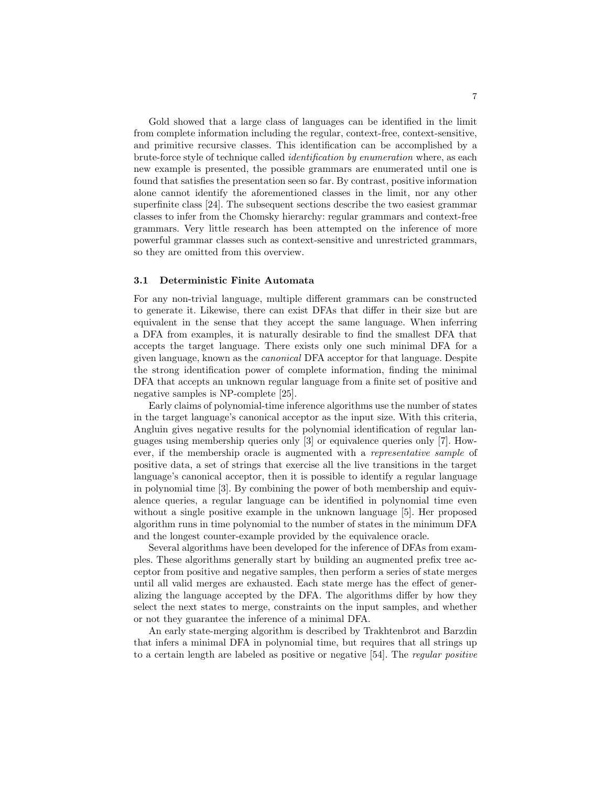Gold showed that a large class of languages can be identified in the limit from complete information including the regular, context-free, context-sensitive, and primitive recursive classes. This identification can be accomplished by a brute-force style of technique called identification by enumeration where, as each new example is presented, the possible grammars are enumerated until one is found that satisfies the presentation seen so far. By contrast, positive information alone cannot identify the aforementioned classes in the limit, nor any other superfinite class [24]. The subsequent sections describe the two easiest grammar classes to infer from the Chomsky hierarchy: regular grammars and context-free grammars. Very little research has been attempted on the inference of more powerful grammar classes such as context-sensitive and unrestricted grammars, so they are omitted from this overview.

#### 3.1 Deterministic Finite Automata

For any non-trivial language, multiple different grammars can be constructed to generate it. Likewise, there can exist DFAs that differ in their size but are equivalent in the sense that they accept the same language. When inferring a DFA from examples, it is naturally desirable to find the smallest DFA that accepts the target language. There exists only one such minimal DFA for a given language, known as the canonical DFA acceptor for that language. Despite the strong identification power of complete information, finding the minimal DFA that accepts an unknown regular language from a finite set of positive and negative samples is NP-complete [25].

Early claims of polynomial-time inference algorithms use the number of states in the target language's canonical acceptor as the input size. With this criteria, Angluin gives negative results for the polynomial identification of regular languages using membership queries only [3] or equivalence queries only [7]. However, if the membership oracle is augmented with a *representative sample* of positive data, a set of strings that exercise all the live transitions in the target language's canonical acceptor, then it is possible to identify a regular language in polynomial time [3]. By combining the power of both membership and equivalence queries, a regular language can be identified in polynomial time even without a single positive example in the unknown language [5]. Her proposed algorithm runs in time polynomial to the number of states in the minimum DFA and the longest counter-example provided by the equivalence oracle.

Several algorithms have been developed for the inference of DFAs from examples. These algorithms generally start by building an augmented prefix tree acceptor from positive and negative samples, then perform a series of state merges until all valid merges are exhausted. Each state merge has the effect of generalizing the language accepted by the DFA. The algorithms differ by how they select the next states to merge, constraints on the input samples, and whether or not they guarantee the inference of a minimal DFA.

An early state-merging algorithm is described by Trakhtenbrot and Barzdin that infers a minimal DFA in polynomial time, but requires that all strings up to a certain length are labeled as positive or negative [54]. The regular positive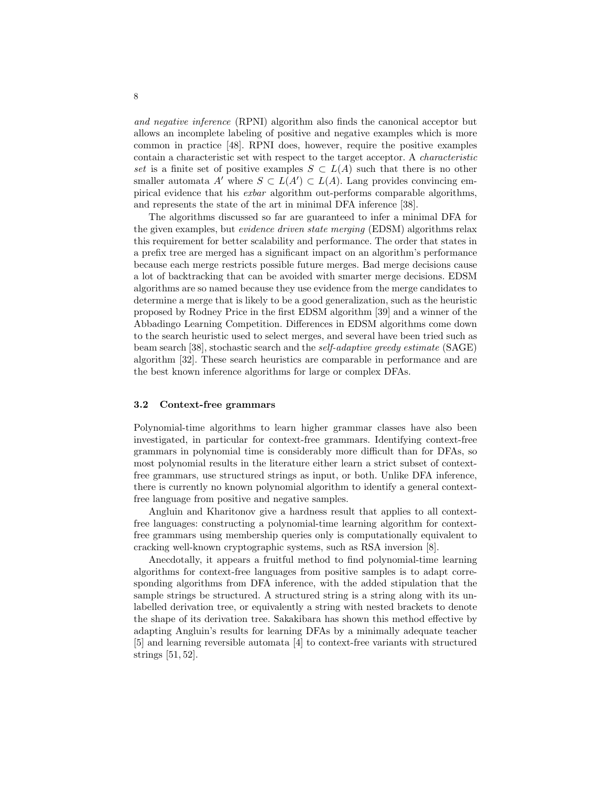and negative inference (RPNI) algorithm also finds the canonical acceptor but allows an incomplete labeling of positive and negative examples which is more common in practice [48]. RPNI does, however, require the positive examples contain a characteristic set with respect to the target acceptor. A characteristic set is a finite set of positive examples  $S \subset L(A)$  such that there is no other smaller automata A' where  $S \subset L(A') \subset L(A)$ . Lang provides convincing empirical evidence that his exbar algorithm out-performs comparable algorithms, and represents the state of the art in minimal DFA inference [38].

The algorithms discussed so far are guaranteed to infer a minimal DFA for the given examples, but evidence driven state merging (EDSM) algorithms relax this requirement for better scalability and performance. The order that states in a prefix tree are merged has a significant impact on an algorithm's performance because each merge restricts possible future merges. Bad merge decisions cause a lot of backtracking that can be avoided with smarter merge decisions. EDSM algorithms are so named because they use evidence from the merge candidates to determine a merge that is likely to be a good generalization, such as the heuristic proposed by Rodney Price in the first EDSM algorithm [39] and a winner of the Abbadingo Learning Competition. Differences in EDSM algorithms come down to the search heuristic used to select merges, and several have been tried such as beam search [38], stochastic search and the self-adaptive greedy estimate (SAGE) algorithm [32]. These search heuristics are comparable in performance and are the best known inference algorithms for large or complex DFAs.

### 3.2 Context-free grammars

Polynomial-time algorithms to learn higher grammar classes have also been investigated, in particular for context-free grammars. Identifying context-free grammars in polynomial time is considerably more difficult than for DFAs, so most polynomial results in the literature either learn a strict subset of contextfree grammars, use structured strings as input, or both. Unlike DFA inference, there is currently no known polynomial algorithm to identify a general contextfree language from positive and negative samples.

Angluin and Kharitonov give a hardness result that applies to all contextfree languages: constructing a polynomial-time learning algorithm for contextfree grammars using membership queries only is computationally equivalent to cracking well-known cryptographic systems, such as RSA inversion [8].

Anecdotally, it appears a fruitful method to find polynomial-time learning algorithms for context-free languages from positive samples is to adapt corresponding algorithms from DFA inference, with the added stipulation that the sample strings be structured. A structured string is a string along with its unlabelled derivation tree, or equivalently a string with nested brackets to denote the shape of its derivation tree. Sakakibara has shown this method effective by adapting Angluin's results for learning DFAs by a minimally adequate teacher [5] and learning reversible automata [4] to context-free variants with structured strings [51, 52].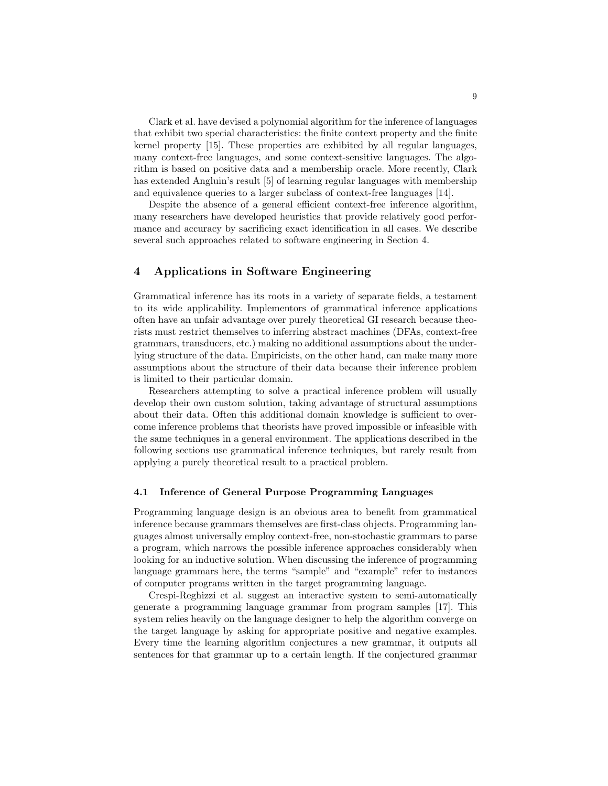Clark et al. have devised a polynomial algorithm for the inference of languages that exhibit two special characteristics: the finite context property and the finite kernel property [15]. These properties are exhibited by all regular languages, many context-free languages, and some context-sensitive languages. The algorithm is based on positive data and a membership oracle. More recently, Clark has extended Angluin's result [5] of learning regular languages with membership and equivalence queries to a larger subclass of context-free languages [14].

Despite the absence of a general efficient context-free inference algorithm, many researchers have developed heuristics that provide relatively good performance and accuracy by sacrificing exact identification in all cases. We describe several such approaches related to software engineering in Section 4.

## 4 Applications in Software Engineering

Grammatical inference has its roots in a variety of separate fields, a testament to its wide applicability. Implementors of grammatical inference applications often have an unfair advantage over purely theoretical GI research because theorists must restrict themselves to inferring abstract machines (DFAs, context-free grammars, transducers, etc.) making no additional assumptions about the underlying structure of the data. Empiricists, on the other hand, can make many more assumptions about the structure of their data because their inference problem is limited to their particular domain.

Researchers attempting to solve a practical inference problem will usually develop their own custom solution, taking advantage of structural assumptions about their data. Often this additional domain knowledge is sufficient to overcome inference problems that theorists have proved impossible or infeasible with the same techniques in a general environment. The applications described in the following sections use grammatical inference techniques, but rarely result from applying a purely theoretical result to a practical problem.

#### 4.1 Inference of General Purpose Programming Languages

Programming language design is an obvious area to benefit from grammatical inference because grammars themselves are first-class objects. Programming languages almost universally employ context-free, non-stochastic grammars to parse a program, which narrows the possible inference approaches considerably when looking for an inductive solution. When discussing the inference of programming language grammars here, the terms "sample" and "example" refer to instances of computer programs written in the target programming language.

Crespi-Reghizzi et al. suggest an interactive system to semi-automatically generate a programming language grammar from program samples [17]. This system relies heavily on the language designer to help the algorithm converge on the target language by asking for appropriate positive and negative examples. Every time the learning algorithm conjectures a new grammar, it outputs all sentences for that grammar up to a certain length. If the conjectured grammar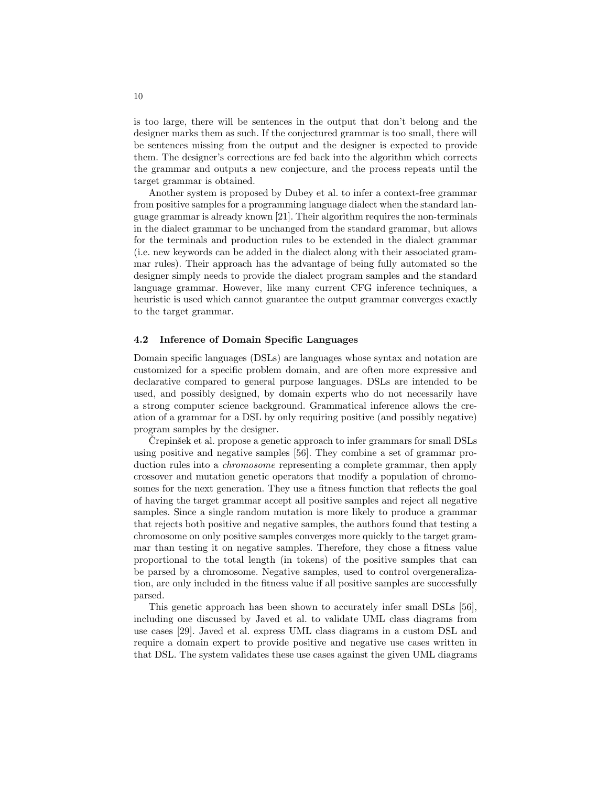is too large, there will be sentences in the output that don't belong and the designer marks them as such. If the conjectured grammar is too small, there will be sentences missing from the output and the designer is expected to provide them. The designer's corrections are fed back into the algorithm which corrects the grammar and outputs a new conjecture, and the process repeats until the target grammar is obtained.

Another system is proposed by Dubey et al. to infer a context-free grammar from positive samples for a programming language dialect when the standard language grammar is already known [21]. Their algorithm requires the non-terminals in the dialect grammar to be unchanged from the standard grammar, but allows for the terminals and production rules to be extended in the dialect grammar (i.e. new keywords can be added in the dialect along with their associated grammar rules). Their approach has the advantage of being fully automated so the designer simply needs to provide the dialect program samples and the standard language grammar. However, like many current CFG inference techniques, a heuristic is used which cannot guarantee the output grammar converges exactly to the target grammar.

#### 4.2 Inference of Domain Specific Languages

Domain specific languages (DSLs) are languages whose syntax and notation are customized for a specific problem domain, and are often more expressive and declarative compared to general purpose languages. DSLs are intended to be used, and possibly designed, by domain experts who do not necessarily have a strong computer science background. Grammatical inference allows the creation of a grammar for a DSL by only requiring positive (and possibly negative) program samples by the designer.

 $\check{C}$ repinšek et al. propose a genetic approach to infer grammars for small  $\text{DSLs}$ using positive and negative samples [56]. They combine a set of grammar production rules into a chromosome representing a complete grammar, then apply crossover and mutation genetic operators that modify a population of chromosomes for the next generation. They use a fitness function that reflects the goal of having the target grammar accept all positive samples and reject all negative samples. Since a single random mutation is more likely to produce a grammar that rejects both positive and negative samples, the authors found that testing a chromosome on only positive samples converges more quickly to the target grammar than testing it on negative samples. Therefore, they chose a fitness value proportional to the total length (in tokens) of the positive samples that can be parsed by a chromosome. Negative samples, used to control overgeneralization, are only included in the fitness value if all positive samples are successfully parsed.

This genetic approach has been shown to accurately infer small DSLs [56], including one discussed by Javed et al. to validate UML class diagrams from use cases [29]. Javed et al. express UML class diagrams in a custom DSL and require a domain expert to provide positive and negative use cases written in that DSL. The system validates these use cases against the given UML diagrams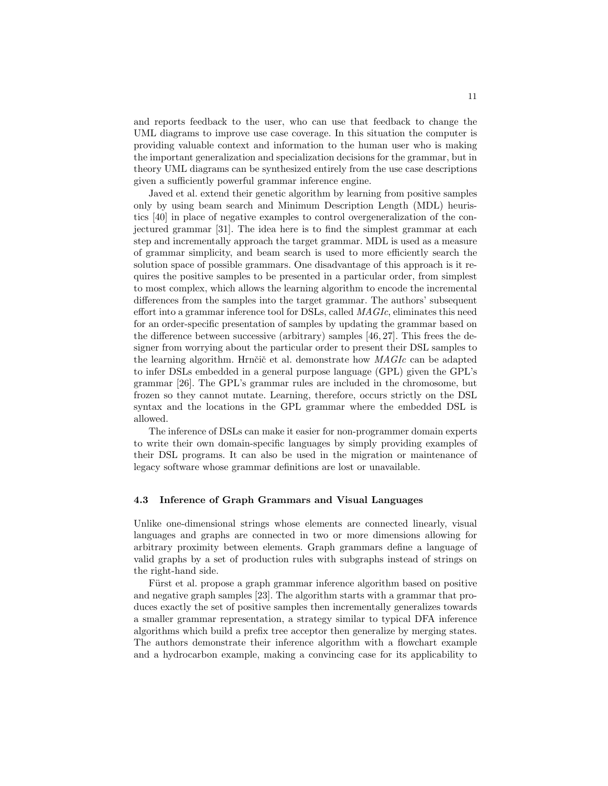and reports feedback to the user, who can use that feedback to change the UML diagrams to improve use case coverage. In this situation the computer is providing valuable context and information to the human user who is making the important generalization and specialization decisions for the grammar, but in theory UML diagrams can be synthesized entirely from the use case descriptions given a sufficiently powerful grammar inference engine.

Javed et al. extend their genetic algorithm by learning from positive samples only by using beam search and Minimum Description Length (MDL) heuristics [40] in place of negative examples to control overgeneralization of the conjectured grammar [31]. The idea here is to find the simplest grammar at each step and incrementally approach the target grammar. MDL is used as a measure of grammar simplicity, and beam search is used to more efficiently search the solution space of possible grammars. One disadvantage of this approach is it requires the positive samples to be presented in a particular order, from simplest to most complex, which allows the learning algorithm to encode the incremental differences from the samples into the target grammar. The authors' subsequent effort into a grammar inference tool for DSLs, called MAGIc, eliminates this need for an order-specific presentation of samples by updating the grammar based on the difference between successive (arbitrary) samples [46, 27]. This frees the designer from worrying about the particular order to present their DSL samples to the learning algorithm. Hrnčič et al. demonstrate how  $MAGIc$  can be adapted to infer DSLs embedded in a general purpose language (GPL) given the GPL's grammar [26]. The GPL's grammar rules are included in the chromosome, but frozen so they cannot mutate. Learning, therefore, occurs strictly on the DSL syntax and the locations in the GPL grammar where the embedded DSL is allowed.

The inference of DSLs can make it easier for non-programmer domain experts to write their own domain-specific languages by simply providing examples of their DSL programs. It can also be used in the migration or maintenance of legacy software whose grammar definitions are lost or unavailable.

#### 4.3 Inference of Graph Grammars and Visual Languages

Unlike one-dimensional strings whose elements are connected linearly, visual languages and graphs are connected in two or more dimensions allowing for arbitrary proximity between elements. Graph grammars define a language of valid graphs by a set of production rules with subgraphs instead of strings on the right-hand side.

Fürst et al. propose a graph grammar inference algorithm based on positive and negative graph samples [23]. The algorithm starts with a grammar that produces exactly the set of positive samples then incrementally generalizes towards a smaller grammar representation, a strategy similar to typical DFA inference algorithms which build a prefix tree acceptor then generalize by merging states. The authors demonstrate their inference algorithm with a flowchart example and a hydrocarbon example, making a convincing case for its applicability to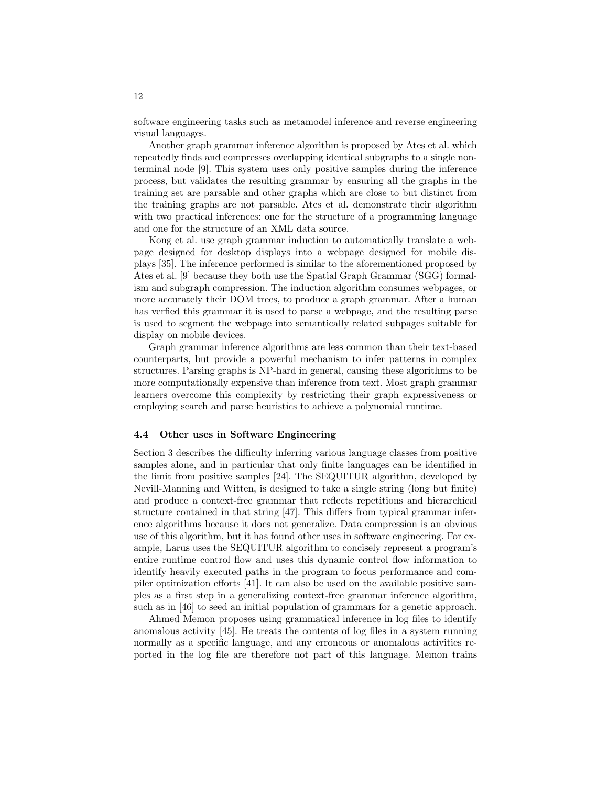software engineering tasks such as metamodel inference and reverse engineering visual languages.

Another graph grammar inference algorithm is proposed by Ates et al. which repeatedly finds and compresses overlapping identical subgraphs to a single nonterminal node [9]. This system uses only positive samples during the inference process, but validates the resulting grammar by ensuring all the graphs in the training set are parsable and other graphs which are close to but distinct from the training graphs are not parsable. Ates et al. demonstrate their algorithm with two practical inferences: one for the structure of a programming language and one for the structure of an XML data source.

Kong et al. use graph grammar induction to automatically translate a webpage designed for desktop displays into a webpage designed for mobile displays [35]. The inference performed is similar to the aforementioned proposed by Ates et al. [9] because they both use the Spatial Graph Grammar (SGG) formalism and subgraph compression. The induction algorithm consumes webpages, or more accurately their DOM trees, to produce a graph grammar. After a human has verfied this grammar it is used to parse a webpage, and the resulting parse is used to segment the webpage into semantically related subpages suitable for display on mobile devices.

Graph grammar inference algorithms are less common than their text-based counterparts, but provide a powerful mechanism to infer patterns in complex structures. Parsing graphs is NP-hard in general, causing these algorithms to be more computationally expensive than inference from text. Most graph grammar learners overcome this complexity by restricting their graph expressiveness or employing search and parse heuristics to achieve a polynomial runtime.

#### 4.4 Other uses in Software Engineering

Section 3 describes the difficulty inferring various language classes from positive samples alone, and in particular that only finite languages can be identified in the limit from positive samples [24]. The SEQUITUR algorithm, developed by Nevill-Manning and Witten, is designed to take a single string (long but finite) and produce a context-free grammar that reflects repetitions and hierarchical structure contained in that string [47]. This differs from typical grammar inference algorithms because it does not generalize. Data compression is an obvious use of this algorithm, but it has found other uses in software engineering. For example, Larus uses the SEQUITUR algorithm to concisely represent a program's entire runtime control flow and uses this dynamic control flow information to identify heavily executed paths in the program to focus performance and compiler optimization efforts [41]. It can also be used on the available positive samples as a first step in a generalizing context-free grammar inference algorithm, such as in [46] to seed an initial population of grammars for a genetic approach.

Ahmed Memon proposes using grammatical inference in log files to identify anomalous activity [45]. He treats the contents of log files in a system running normally as a specific language, and any erroneous or anomalous activities reported in the log file are therefore not part of this language. Memon trains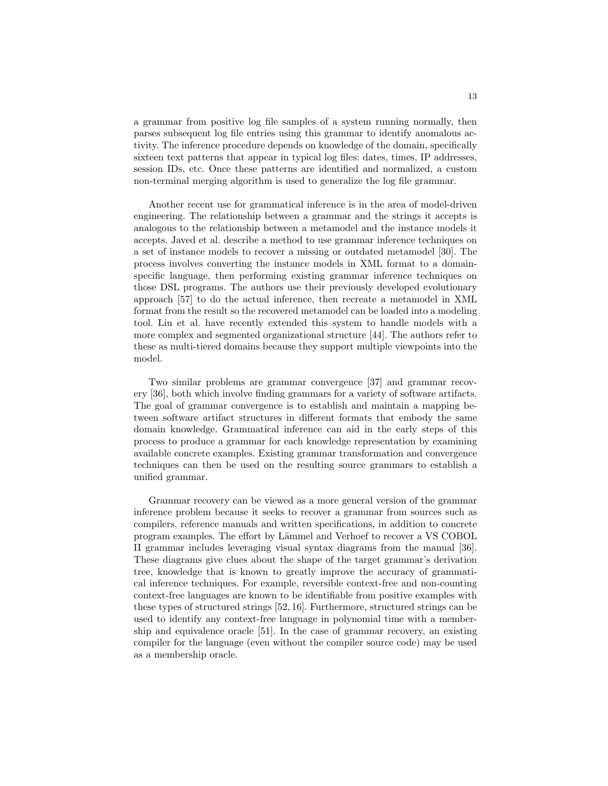a grammar from positive log file samples of a system running normally, then parses subsequent log file entries using this grammar to identify anomalous activity. The inference procedure depends on knowledge of the domain, specifically sixteen text patterns that appear in typical log files: dates, times, IP addresses, session IDs, etc. Once these patterns are identified and normalized, a custom non-terminal merging algorithm is used to generalize the log file grammar.

Another recent use for grammatical inference is in the area of model-driven engineering. The relationship between a grammar and the strings it accepts is analogous to the relationship between a metamodel and the instance models it accepts. Javed et al. describe a method to use grammar inference techniques on a set of instance models to recover a missing or outdated metamodel [30]. The process involves converting the instance models in XML format to a domainspecific language, then performing existing grammar inference techniques on those DSL programs. The authors use their previously developed evolutionary approach [57] to do the actual inference, then recreate a metamodel in XML format from the result so the recovered metamodel can be loaded into a modeling tool. Liu et al. have recently extended this system to handle models with a more complex and segmented organizational structure [44]. The authors refer to these as multi-tiered domains because they support multiple viewpoints into the model.

Two similar problems are grammar convergence [37] and grammar recovery [36], both which involve finding grammars for a variety of software artifacts. The goal of grammar convergence is to establish and maintain a mapping between software artifact structures in different formats that embody the same domain knowledge. Grammatical inference can aid in the early steps of this process to produce a grammar for each knowledge representation by examining available concrete examples. Existing grammar transformation and convergence techniques can then be used on the resulting source grammars to establish a unified grammar.

Grammar recovery can be viewed as a more general version of the grammar inference problem because it seeks to recover a grammar from sources such as compilers, reference manuals and written specifications, in addition to concrete program examples. The effort by Lämmel and Verhoef to recover a VS COBOL II grammar includes leveraging visual syntax diagrams from the manual [36]. These diagrams give clues about the shape of the target grammar's derivation tree, knowledge that is known to greatly improve the accuracy of grammatical inference techniques. For example, reversible context-free and non-counting context-free languages are known to be identifiable from positive examples with these types of structured strings [52, 16]. Furthermore, structured strings can be used to identify any context-free language in polynomial time with a membership and equivalence oracle [51]. In the case of grammar recovery, an existing compiler for the language (even without the compiler source code) may be used as a membership oracle.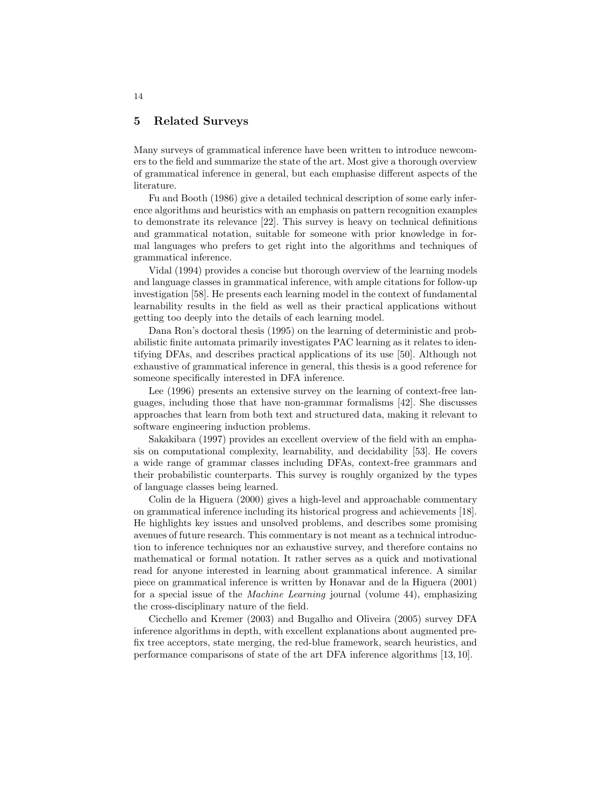# 5 Related Surveys

Many surveys of grammatical inference have been written to introduce newcomers to the field and summarize the state of the art. Most give a thorough overview of grammatical inference in general, but each emphasise different aspects of the literature.

Fu and Booth (1986) give a detailed technical description of some early inference algorithms and heuristics with an emphasis on pattern recognition examples to demonstrate its relevance [22]. This survey is heavy on technical definitions and grammatical notation, suitable for someone with prior knowledge in formal languages who prefers to get right into the algorithms and techniques of grammatical inference.

Vidal (1994) provides a concise but thorough overview of the learning models and language classes in grammatical inference, with ample citations for follow-up investigation [58]. He presents each learning model in the context of fundamental learnability results in the field as well as their practical applications without getting too deeply into the details of each learning model.

Dana Ron's doctoral thesis (1995) on the learning of deterministic and probabilistic finite automata primarily investigates PAC learning as it relates to identifying DFAs, and describes practical applications of its use [50]. Although not exhaustive of grammatical inference in general, this thesis is a good reference for someone specifically interested in DFA inference.

Lee (1996) presents an extensive survey on the learning of context-free languages, including those that have non-grammar formalisms [42]. She discusses approaches that learn from both text and structured data, making it relevant to software engineering induction problems.

Sakakibara (1997) provides an excellent overview of the field with an emphasis on computational complexity, learnability, and decidability [53]. He covers a wide range of grammar classes including DFAs, context-free grammars and their probabilistic counterparts. This survey is roughly organized by the types of language classes being learned.

Colin de la Higuera (2000) gives a high-level and approachable commentary on grammatical inference including its historical progress and achievements [18]. He highlights key issues and unsolved problems, and describes some promising avenues of future research. This commentary is not meant as a technical introduction to inference techniques nor an exhaustive survey, and therefore contains no mathematical or formal notation. It rather serves as a quick and motivational read for anyone interested in learning about grammatical inference. A similar piece on grammatical inference is written by Honavar and de la Higuera (2001) for a special issue of the Machine Learning journal (volume 44), emphasizing the cross-disciplinary nature of the field.

Cicchello and Kremer (2003) and Bugalho and Oliveira (2005) survey DFA inference algorithms in depth, with excellent explanations about augmented prefix tree acceptors, state merging, the red-blue framework, search heuristics, and performance comparisons of state of the art DFA inference algorithms [13, 10].

14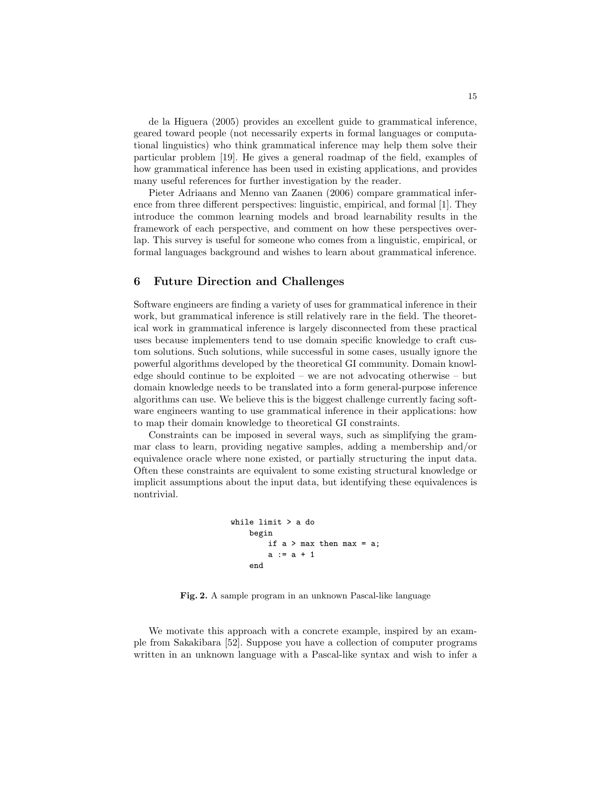de la Higuera (2005) provides an excellent guide to grammatical inference, geared toward people (not necessarily experts in formal languages or computational linguistics) who think grammatical inference may help them solve their particular problem [19]. He gives a general roadmap of the field, examples of how grammatical inference has been used in existing applications, and provides many useful references for further investigation by the reader.

Pieter Adriaans and Menno van Zaanen (2006) compare grammatical inference from three different perspectives: linguistic, empirical, and formal [1]. They introduce the common learning models and broad learnability results in the framework of each perspective, and comment on how these perspectives overlap. This survey is useful for someone who comes from a linguistic, empirical, or formal languages background and wishes to learn about grammatical inference.

### 6 Future Direction and Challenges

Software engineers are finding a variety of uses for grammatical inference in their work, but grammatical inference is still relatively rare in the field. The theoretical work in grammatical inference is largely disconnected from these practical uses because implementers tend to use domain specific knowledge to craft custom solutions. Such solutions, while successful in some cases, usually ignore the powerful algorithms developed by the theoretical GI community. Domain knowledge should continue to be exploited – we are not advocating otherwise – but domain knowledge needs to be translated into a form general-purpose inference algorithms can use. We believe this is the biggest challenge currently facing software engineers wanting to use grammatical inference in their applications: how to map their domain knowledge to theoretical GI constraints.

Constraints can be imposed in several ways, such as simplifying the grammar class to learn, providing negative samples, adding a membership and/or equivalence oracle where none existed, or partially structuring the input data. Often these constraints are equivalent to some existing structural knowledge or implicit assumptions about the input data, but identifying these equivalences is nontrivial.

```
while limit > a do
begin
    if a > max then max = a;
    a := a + 1end
```
Fig. 2. A sample program in an unknown Pascal-like language

We motivate this approach with a concrete example, inspired by an example from Sakakibara [52]. Suppose you have a collection of computer programs written in an unknown language with a Pascal-like syntax and wish to infer a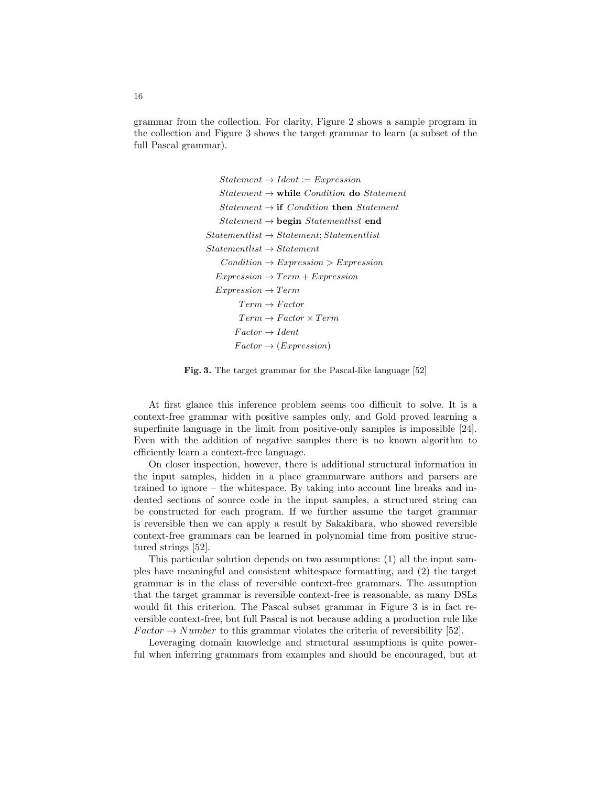grammar from the collection. For clarity, Figure 2 shows a sample program in the collection and Figure 3 shows the target grammar to learn (a subset of the full Pascal grammar).

> $Statement \rightarrow Ident := Expression$  $Statement \rightarrow$  while *Condition* do *Statement*  $Statement \rightarrow \textbf{if} \text{ } Condition \textbf{ then} \text{ } Statement$  $Statement \rightarrow \text{begin} Statement$  $Statementlist \rightarrow Statement; Statement$  $Statementlist \rightarrow Statement$  $Condition \rightarrow Expression \rightarrow Expression$  $Expression \rightarrow Term + Expression$  $Expression \rightarrow Term$  $Term \rightarrow Factor$  $Term \rightarrow Factor \times Term$  $Factor \rightarrow Ident$  $Factor \rightarrow (Expression)$

Fig. 3. The target grammar for the Pascal-like language [52]

At first glance this inference problem seems too difficult to solve. It is a context-free grammar with positive samples only, and Gold proved learning a superfinite language in the limit from positive-only samples is impossible [24]. Even with the addition of negative samples there is no known algorithm to efficiently learn a context-free language.

On closer inspection, however, there is additional structural information in the input samples, hidden in a place grammarware authors and parsers are trained to ignore – the whitespace. By taking into account line breaks and indented sections of source code in the input samples, a structured string can be constructed for each program. If we further assume the target grammar is reversible then we can apply a result by Sakakibara, who showed reversible context-free grammars can be learned in polynomial time from positive structured strings [52].

This particular solution depends on two assumptions: (1) all the input samples have meaningful and consistent whitespace formatting, and (2) the target grammar is in the class of reversible context-free grammars. The assumption that the target grammar is reversible context-free is reasonable, as many DSLs would fit this criterion. The Pascal subset grammar in Figure 3 is in fact reversible context-free, but full Pascal is not because adding a production rule like  $Factor \rightarrow Number$  to this grammar violates the criteria of reversibility [52].

Leveraging domain knowledge and structural assumptions is quite powerful when inferring grammars from examples and should be encouraged, but at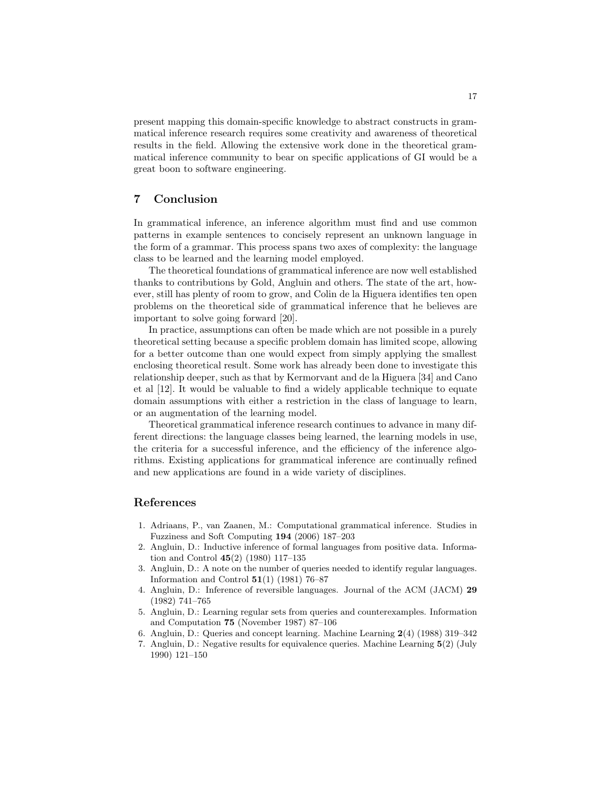present mapping this domain-specific knowledge to abstract constructs in grammatical inference research requires some creativity and awareness of theoretical results in the field. Allowing the extensive work done in the theoretical grammatical inference community to bear on specific applications of GI would be a great boon to software engineering.

# 7 Conclusion

In grammatical inference, an inference algorithm must find and use common patterns in example sentences to concisely represent an unknown language in the form of a grammar. This process spans two axes of complexity: the language class to be learned and the learning model employed.

The theoretical foundations of grammatical inference are now well established thanks to contributions by Gold, Angluin and others. The state of the art, however, still has plenty of room to grow, and Colin de la Higuera identifies ten open problems on the theoretical side of grammatical inference that he believes are important to solve going forward [20].

In practice, assumptions can often be made which are not possible in a purely theoretical setting because a specific problem domain has limited scope, allowing for a better outcome than one would expect from simply applying the smallest enclosing theoretical result. Some work has already been done to investigate this relationship deeper, such as that by Kermorvant and de la Higuera [34] and Cano et al [12]. It would be valuable to find a widely applicable technique to equate domain assumptions with either a restriction in the class of language to learn, or an augmentation of the learning model.

Theoretical grammatical inference research continues to advance in many different directions: the language classes being learned, the learning models in use, the criteria for a successful inference, and the efficiency of the inference algorithms. Existing applications for grammatical inference are continually refined and new applications are found in a wide variety of disciplines.

## References

- 1. Adriaans, P., van Zaanen, M.: Computational grammatical inference. Studies in Fuzziness and Soft Computing 194 (2006) 187–203
- 2. Angluin, D.: Inductive inference of formal languages from positive data. Information and Control 45(2) (1980) 117–135
- 3. Angluin, D.: A note on the number of queries needed to identify regular languages. Information and Control  $51(1)$  (1981) 76–87
- 4. Angluin, D.: Inference of reversible languages. Journal of the ACM (JACM) 29 (1982) 741–765
- 5. Angluin, D.: Learning regular sets from queries and counterexamples. Information and Computation 75 (November 1987) 87–106
- 6. Angluin, D.: Queries and concept learning. Machine Learning 2(4) (1988) 319–342
- 7. Angluin, D.: Negative results for equivalence queries. Machine Learning 5(2) (July 1990) 121–150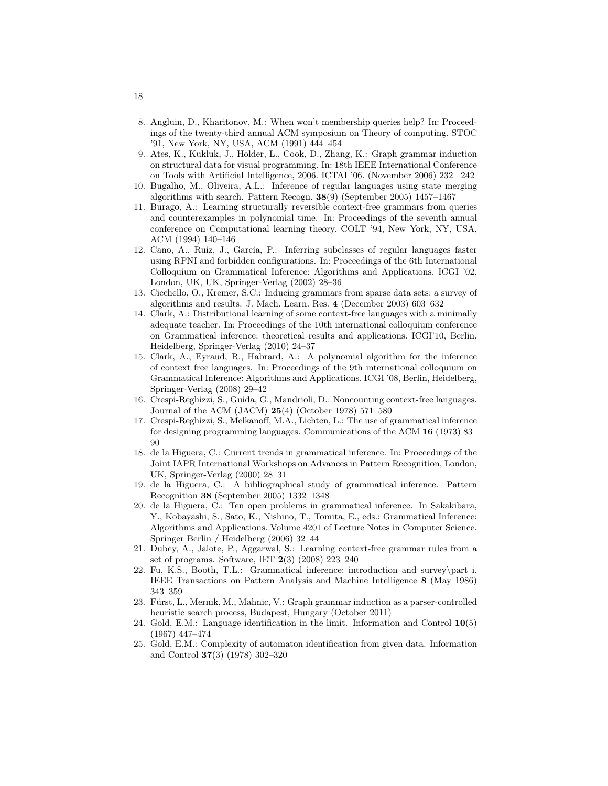- 8. Angluin, D., Kharitonov, M.: When won't membership queries help? In: Proceedings of the twenty-third annual ACM symposium on Theory of computing. STOC '91, New York, NY, USA, ACM (1991) 444–454
- 9. Ates, K., Kukluk, J., Holder, L., Cook, D., Zhang, K.: Graph grammar induction on structural data for visual programming. In: 18th IEEE International Conference on Tools with Artificial Intelligence, 2006. ICTAI '06. (November 2006) 232 –242
- 10. Bugalho, M., Oliveira, A.L.: Inference of regular languages using state merging algorithms with search. Pattern Recogn. 38(9) (September 2005) 1457–1467
- 11. Burago, A.: Learning structurally reversible context-free grammars from queries and counterexamples in polynomial time. In: Proceedings of the seventh annual conference on Computational learning theory. COLT '94, New York, NY, USA, ACM (1994) 140–146
- 12. Cano, A., Ruiz, J., García, P.: Inferring subclasses of regular languages faster using RPNI and forbidden configurations. In: Proceedings of the 6th International Colloquium on Grammatical Inference: Algorithms and Applications. ICGI '02, London, UK, UK, Springer-Verlag (2002) 28–36
- 13. Cicchello, O., Kremer, S.C.: Inducing grammars from sparse data sets: a survey of algorithms and results. J. Mach. Learn. Res. 4 (December 2003) 603–632
- 14. Clark, A.: Distributional learning of some context-free languages with a minimally adequate teacher. In: Proceedings of the 10th international colloquium conference on Grammatical inference: theoretical results and applications. ICGI'10, Berlin, Heidelberg, Springer-Verlag (2010) 24–37
- 15. Clark, A., Eyraud, R., Habrard, A.: A polynomial algorithm for the inference of context free languages. In: Proceedings of the 9th international colloquium on Grammatical Inference: Algorithms and Applications. ICGI '08, Berlin, Heidelberg, Springer-Verlag (2008) 29–42
- 16. Crespi-Reghizzi, S., Guida, G., Mandrioli, D.: Noncounting context-free languages. Journal of the ACM (JACM) 25(4) (October 1978) 571–580
- 17. Crespi-Reghizzi, S., Melkanoff, M.A., Lichten, L.: The use of grammatical inference for designing programming languages. Communications of the ACM 16 (1973) 83– 90
- 18. de la Higuera, C.: Current trends in grammatical inference. In: Proceedings of the Joint IAPR International Workshops on Advances in Pattern Recognition, London, UK, Springer-Verlag (2000) 28–31
- 19. de la Higuera, C.: A bibliographical study of grammatical inference. Pattern Recognition 38 (September 2005) 1332–1348
- 20. de la Higuera, C.: Ten open problems in grammatical inference. In Sakakibara, Y., Kobayashi, S., Sato, K., Nishino, T., Tomita, E., eds.: Grammatical Inference: Algorithms and Applications. Volume 4201 of Lecture Notes in Computer Science. Springer Berlin / Heidelberg (2006) 32–44
- 21. Dubey, A., Jalote, P., Aggarwal, S.: Learning context-free grammar rules from a set of programs. Software, IET 2(3) (2008) 223–240
- 22. Fu, K.S., Booth, T.L.: Grammatical inference: introduction and survey\part i. IEEE Transactions on Pattern Analysis and Machine Intelligence 8 (May 1986) 343–359
- 23. Fürst, L., Mernik, M., Mahnic, V.: Graph grammar induction as a parser-controlled heuristic search process, Budapest, Hungary (October 2011)
- 24. Gold, E.M.: Language identification in the limit. Information and Control 10(5) (1967) 447–474
- 25. Gold, E.M.: Complexity of automaton identification from given data. Information and Control 37(3) (1978) 302–320

18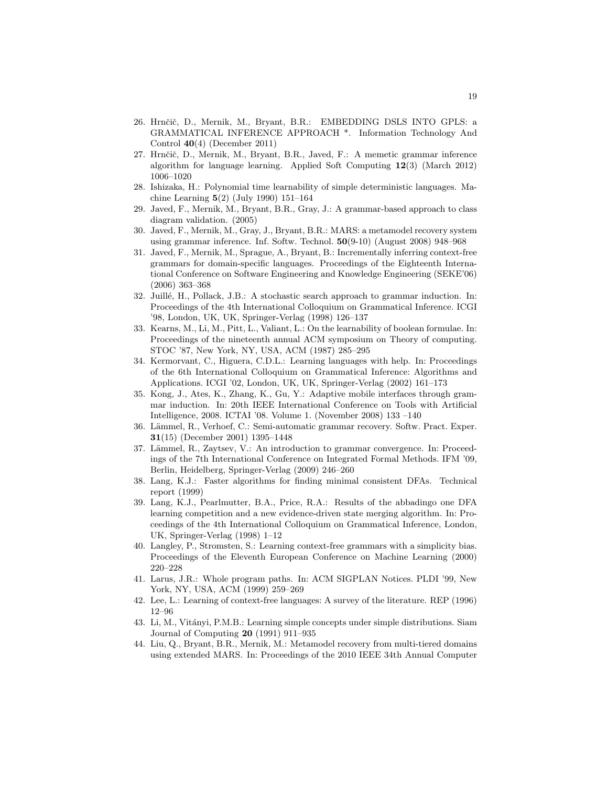- 26. Hrnčič, D., Mernik, M., Bryant, B.R.: EMBEDDING DSLS INTO GPLS: a GRAMMATICAL INFERENCE APPROACH \*. Information Technology And Control 40(4) (December 2011)
- 27. Hrnčič, D., Mernik, M., Bryant, B.R., Javed, F.: A memetic grammar inference algorithm for language learning. Applied Soft Computing 12(3) (March 2012) 1006–1020
- 28. Ishizaka, H.: Polynomial time learnability of simple deterministic languages. Machine Learning 5(2) (July 1990) 151–164
- 29. Javed, F., Mernik, M., Bryant, B.R., Gray, J.: A grammar-based approach to class diagram validation. (2005)
- 30. Javed, F., Mernik, M., Gray, J., Bryant, B.R.: MARS: a metamodel recovery system using grammar inference. Inf. Softw. Technol. 50(9-10) (August 2008) 948–968
- 31. Javed, F., Mernik, M., Sprague, A., Bryant, B.: Incrementally inferring context-free grammars for domain-specific languages. Proceedings of the Eighteenth International Conference on Software Engineering and Knowledge Engineering (SEKE'06) (2006) 363–368
- 32. Juillé, H., Pollack, J.B.: A stochastic search approach to grammar induction. In: Proceedings of the 4th International Colloquium on Grammatical Inference. ICGI '98, London, UK, UK, Springer-Verlag (1998) 126–137
- 33. Kearns, M., Li, M., Pitt, L., Valiant, L.: On the learnability of boolean formulae. In: Proceedings of the nineteenth annual ACM symposium on Theory of computing. STOC '87, New York, NY, USA, ACM (1987) 285–295
- 34. Kermorvant, C., Higuera, C.D.L.: Learning languages with help. In: Proceedings of the 6th International Colloquium on Grammatical Inference: Algorithms and Applications. ICGI '02, London, UK, UK, Springer-Verlag (2002) 161–173
- 35. Kong, J., Ates, K., Zhang, K., Gu, Y.: Adaptive mobile interfaces through grammar induction. In: 20th IEEE International Conference on Tools with Artificial Intelligence, 2008. ICTAI '08. Volume 1. (November 2008) 133 –140
- 36. Lämmel, R., Verhoef, C.: Semi-automatic grammar recovery. Softw. Pract. Exper. 31(15) (December 2001) 1395–1448
- 37. Lämmel, R., Zaytsev, V.: An introduction to grammar convergence. In: Proceedings of the 7th International Conference on Integrated Formal Methods. IFM '09, Berlin, Heidelberg, Springer-Verlag (2009) 246–260
- 38. Lang, K.J.: Faster algorithms for finding minimal consistent DFAs. Technical report (1999)
- 39. Lang, K.J., Pearlmutter, B.A., Price, R.A.: Results of the abbadingo one DFA learning competition and a new evidence-driven state merging algorithm. In: Proceedings of the 4th International Colloquium on Grammatical Inference, London, UK, Springer-Verlag (1998) 1–12
- 40. Langley, P., Stromsten, S.: Learning context-free grammars with a simplicity bias. Proceedings of the Eleventh European Conference on Machine Learning (2000) 220–228
- 41. Larus, J.R.: Whole program paths. In: ACM SIGPLAN Notices. PLDI '99, New York, NY, USA, ACM (1999) 259–269
- 42. Lee, L.: Learning of context-free languages: A survey of the literature. REP (1996) 12–96
- 43. Li, M., Vitányi, P.M.B.: Learning simple concepts under simple distributions. Siam Journal of Computing 20 (1991) 911–935
- 44. Liu, Q., Bryant, B.R., Mernik, M.: Metamodel recovery from multi-tiered domains using extended MARS. In: Proceedings of the 2010 IEEE 34th Annual Computer